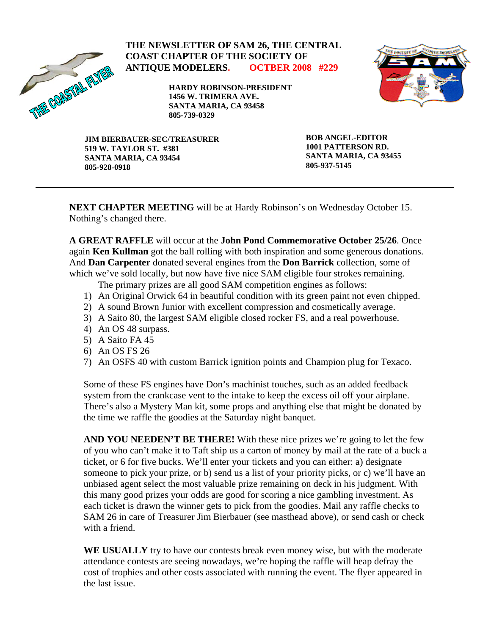

## **THE NEWSLETTER OF SAM 26, THE CENTRAL COAST CHAPTER OF THE SOCIETY OF ANTIQUE MODELERS. OCTBER 2008 #229**

**HARDY ROBINSON-PRESIDENT 1456 W. TRIMERA AVE. SANTA MARIA, CA 93458 805-739-0329** 



**JIM BIERBAUER-SEC/TREASURER 519 W. TAYLOR ST. #381 SANTA MARIA, CA 93454 805-928-0918** 

**BOB ANGEL-EDITOR 1001 PATTERSON RD. SANTA MARIA, CA 93455 805-937-5145** 

**NEXT CHAPTER MEETING** will be at Hardy Robinson's on Wednesday October 15. Nothing's changed there.

**A GREAT RAFFLE** will occur at the **John Pond Commemorative October 25/26**. Once again **Ken Kullman** got the ball rolling with both inspiration and some generous donations. And **Dan Carpenter** donated several engines from the **Don Barrick** collection, some of which we've sold locally, but now have five nice SAM eligible four strokes remaining.

The primary prizes are all good SAM competition engines as follows:

- 1) An Original Orwick 64 in beautiful condition with its green paint not even chipped.
- 2) A sound Brown Junior with excellent compression and cosmetically average.
- 3) A Saito 80, the largest SAM eligible closed rocker FS, and a real powerhouse.
- 4) An OS 48 surpass.
- 5) A Saito FA 45
- 6) An OS FS 26
- 7) An OSFS 40 with custom Barrick ignition points and Champion plug for Texaco.

Some of these FS engines have Don's machinist touches, such as an added feedback system from the crankcase vent to the intake to keep the excess oil off your airplane. There's also a Mystery Man kit, some props and anything else that might be donated by the time we raffle the goodies at the Saturday night banquet.

**AND YOU NEEDEN'T BE THERE!** With these nice prizes we're going to let the few of you who can't make it to Taft ship us a carton of money by mail at the rate of a buck a ticket, or 6 for five bucks. We'll enter your tickets and you can either: a) designate someone to pick your prize, or b) send us a list of your priority picks, or c) we'll have an unbiased agent select the most valuable prize remaining on deck in his judgment. With this many good prizes your odds are good for scoring a nice gambling investment. As each ticket is drawn the winner gets to pick from the goodies. Mail any raffle checks to SAM 26 in care of Treasurer Jim Bierbauer (see masthead above), or send cash or check with a friend.

**WE USUALLY** try to have our contests break even money wise, but with the moderate attendance contests are seeing nowadays, we're hoping the raffle will heap defray the cost of trophies and other costs associated with running the event. The flyer appeared in the last issue.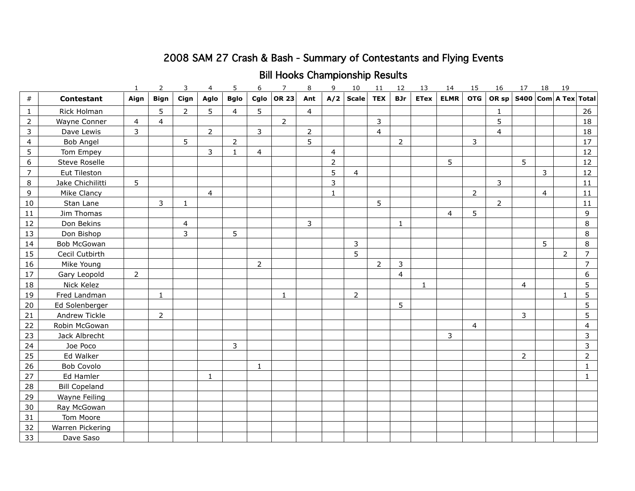# 2008 SAM 27 Crash & Bash - Summary of Contestants and Flying Events

# Bill Hooks Championship Results

|                  |                      | 1              | $\overline{2}$ | 3              | 4              | 5              | 6              | $\overline{7}$ | 8   | 9              | 10             | 11         | 12             | 13          | 14          | 15             | 16             | 17          | 18 | 19             |                |
|------------------|----------------------|----------------|----------------|----------------|----------------|----------------|----------------|----------------|-----|----------------|----------------|------------|----------------|-------------|-------------|----------------|----------------|-------------|----|----------------|----------------|
| $\#$             | <b>Contestant</b>    | Aign           | <b>Bign</b>    | Cign           | Aglo           | <b>Bglo</b>    | Cglo           | <b>OR 23</b>   | Ant | A/2            | <b>Scale</b>   | <b>TEX</b> | <b>BJr</b>     | <b>ETex</b> | <b>ELMR</b> | <b>OTG</b>     | OR sp          | <b>S400</b> |    | Com A Tex      | <b>Total</b>   |
| $\mathbf{1}$     | Rick Holman          |                | 5              | $\overline{2}$ | 5              | $\overline{4}$ | 5              |                | 4   |                |                |            |                |             |             |                | 1              |             |    |                | 26             |
| $\overline{2}$   | Wayne Conner         | 4              | $\overline{4}$ |                |                |                |                | $\overline{2}$ |     |                |                | 3          |                |             |             |                | 5              |             |    |                | 18             |
| $\mathsf 3$      | Dave Lewis           | $\mathbf{3}$   |                |                | $\overline{2}$ |                | 3              |                | 2   |                |                | 4          |                |             |             |                | 4              |             |    |                | 18             |
| $\overline{4}$   | Bob Angel            |                |                | 5              |                | 2              |                |                | 5   |                |                |            | $\overline{2}$ |             |             | 3              |                |             |    |                | 17             |
| 5                | Tom Empey            |                |                |                | 3              | 1              | $\overline{4}$ |                |     | $\overline{4}$ |                |            |                |             |             |                |                |             |    |                | 12             |
| $\boldsymbol{6}$ | <b>Steve Roselle</b> |                |                |                |                |                |                |                |     | $\overline{2}$ |                |            |                |             | 5           |                |                | 5           |    |                | 12             |
| $\overline{7}$   | Eut Tileston         |                |                |                |                |                |                |                |     | 5              | $\overline{4}$ |            |                |             |             |                |                |             | 3  |                | 12             |
| 8                | Jake Chichilitti     | 5              |                |                |                |                |                |                |     | $\overline{3}$ |                |            |                |             |             |                | 3              |             |    |                | 11             |
| 9                | Mike Clancy          |                |                |                | $\overline{4}$ |                |                |                |     | 1              |                |            |                |             |             | $\overline{2}$ |                |             | 4  |                | 11             |
| 10               | Stan Lane            |                | $\mathsf{3}$   | $\mathbf{1}$   |                |                |                |                |     |                |                | 5          |                |             |             |                | $\overline{2}$ |             |    |                | 11             |
| 11               | Jim Thomas           |                |                |                |                |                |                |                |     |                |                |            |                |             | 4           | 5              |                |             |    |                | 9              |
| 12               | Don Bekins           |                |                | $\overline{4}$ |                |                |                |                | 3   |                |                |            | $\mathbf{1}$   |             |             |                |                |             |    |                | 8              |
| 13               | Don Bishop           |                |                | 3              |                | 5              |                |                |     |                |                |            |                |             |             |                |                |             |    |                | 8              |
| 14               | Bob McGowan          |                |                |                |                |                |                |                |     |                | 3              |            |                |             |             |                |                |             | 5  |                | 8              |
| 15               | Cecil Cutbirth       |                |                |                |                |                |                |                |     |                | 5              |            |                |             |             |                |                |             |    | $\overline{2}$ | $\overline{7}$ |
| 16               | Mike Young           |                |                |                |                |                | 2              |                |     |                |                | 2          | 3              |             |             |                |                |             |    |                | $\overline{7}$ |
| 17               | Gary Leopold         | $\overline{2}$ |                |                |                |                |                |                |     |                |                |            | $\overline{4}$ |             |             |                |                |             |    |                | 6              |
| 18               | Nick Kelez           |                |                |                |                |                |                |                |     |                |                |            |                | 1           |             |                |                | 4           |    |                | 5              |
| 19               | Fred Landman         |                | 1              |                |                |                |                | 1              |     |                | $\overline{2}$ |            |                |             |             |                |                |             |    | 1              | 5              |
| 20               | Ed Solenberger       |                |                |                |                |                |                |                |     |                |                |            | 5              |             |             |                |                |             |    |                | 5              |
| 21               | Andrew Tickle        |                | $\overline{2}$ |                |                |                |                |                |     |                |                |            |                |             |             |                |                | 3           |    |                | 5              |
| 22               | Robin McGowan        |                |                |                |                |                |                |                |     |                |                |            |                |             |             | $\overline{4}$ |                |             |    |                | 4              |
| 23               | Jack Albrecht        |                |                |                |                |                |                |                |     |                |                |            |                |             | 3           |                |                |             |    |                | 3              |
| 24               | Joe Poco             |                |                |                |                | 3              |                |                |     |                |                |            |                |             |             |                |                |             |    |                | 3              |
| 25               | Ed Walker            |                |                |                |                |                |                |                |     |                |                |            |                |             |             |                |                | 2           |    |                | 2              |
| 26               | Bob Covolo           |                |                |                |                |                | $\mathbf{1}$   |                |     |                |                |            |                |             |             |                |                |             |    |                | 1              |
| 27               | Ed Hamler            |                |                |                | 1              |                |                |                |     |                |                |            |                |             |             |                |                |             |    |                | 1              |
| 28               | <b>Bill Copeland</b> |                |                |                |                |                |                |                |     |                |                |            |                |             |             |                |                |             |    |                |                |
| 29               | Wayne Feiling        |                |                |                |                |                |                |                |     |                |                |            |                |             |             |                |                |             |    |                |                |
| 30               | Ray McGowan          |                |                |                |                |                |                |                |     |                |                |            |                |             |             |                |                |             |    |                |                |
| 31               | Tom Moore            |                |                |                |                |                |                |                |     |                |                |            |                |             |             |                |                |             |    |                |                |
| 32               | Warren Pickering     |                |                |                |                |                |                |                |     |                |                |            |                |             |             |                |                |             |    |                |                |
| 33               | Dave Saso            |                |                |                |                |                |                |                |     |                |                |            |                |             |             |                |                |             |    |                |                |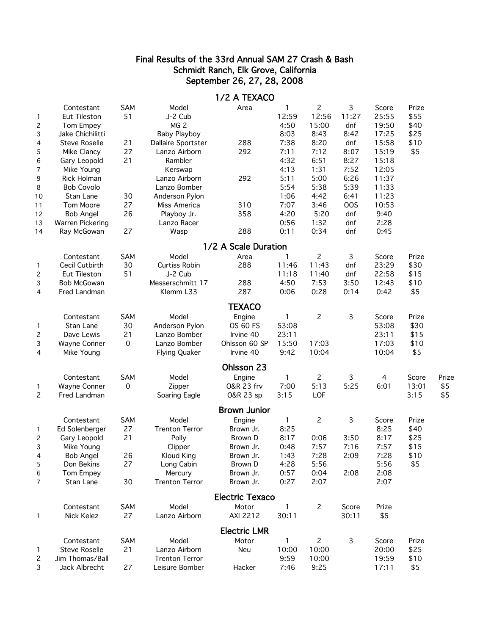#### Final Results of the 33rd Annual SAM 27 Crash & Bash Schmidt Ranch, Elk Grove, California September 26, 27, 28, 2008

|                   |                      |             |                       | 1/2 A TEXACO                    |            |                |             |       |       |       |
|-------------------|----------------------|-------------|-----------------------|---------------------------------|------------|----------------|-------------|-------|-------|-------|
|                   | Contestant           | SAM         | Model                 | Area                            | 1          | $\overline{c}$ | 3           | Score | Prize |       |
| $\mathbf{1}$      | Eut Tileston         | 51          | J-2 Cub               |                                 | 12:59      | 12:56          | 11:27       | 25:55 | \$55  |       |
| 2                 | Tom Empey            |             | MG <sub>2</sub>       |                                 | 4:50       | 15:00          | dnf         | 19:50 | \$40  |       |
| 3                 | Jake Chichilitti     |             | <b>Baby Playboy</b>   |                                 | 8:03       | 8:43           | 8:42        | 17:25 | \$25  |       |
| 4                 | <b>Steve Roselle</b> | 21          | Dallaire Sportster    | 288                             | 7:38       | 8:20           | dnf         | 15:58 | \$10  |       |
| 5                 | Mike Clancy          | 27          | Lanzo Airborn         | 292                             | 7:11       | 7:12           | 8:07        | 15:19 | \$5   |       |
| 6                 | Gary Leopold         | 21          | Rambler               |                                 | 4:32       | 6:51           | 8:27        | 15:18 |       |       |
| 7                 | Mike Young           |             | Kerswap               |                                 | 4:13       | 1:31           | 7:52        | 12:05 |       |       |
| 9                 | Rick Holman          |             | Lanzo Airborn         | 292                             | 5:11       | 5:00           | 6:26        | 11:37 |       |       |
| 8                 | <b>Bob Covolo</b>    |             | Lanzo Bomber          |                                 | 5:54       | 5:38           | 5:39        | 11:33 |       |       |
| 10                | Stan Lane            | 30          | Anderson Pylon        |                                 | 1:06       | 4:42           | 6:41        | 11:23 |       |       |
| 11                | Tom Moore            | 27          | Miss America          | 310                             | 7:07       | 3:46           | <b>OOS</b>  | 10:53 |       |       |
| 12                | <b>Bob Angel</b>     | 26          | Playboy Jr.           | 358                             | 4:20       | 5:20           | dnf         | 9:40  |       |       |
| 13                | Warren Pickering     |             | Lanzo Racer           |                                 | 0:56       | 1:32           | dnf         | 2:28  |       |       |
| 14                | Ray McGowan          | 27          | Wasp                  | 288                             | 0:11       | 0:34           | dnf         | 0:45  |       |       |
|                   |                      |             |                       | 1/2 A Scale Duration            |            |                |             |       |       |       |
|                   | Contestant           | SAM         | Model                 | Area                            | 1          | $\overline{c}$ | 3           | Score | Prize |       |
| 1                 | Cecil Cutbirth       | 30          | <b>Curtiss Robin</b>  | 288                             | 11:46      | 11:43          | dnf         | 23:29 | \$30  |       |
| $\overline{c}$    | Eut Tileston         | 51          | J-2 Cub               |                                 | 11:18      | 11:40          | dnf         | 22:58 | \$15  |       |
| 3                 | <b>Bob McGowan</b>   |             | Messerschmitt 17      | 288                             | 4:50       | 7:53           | 3:50        | 12:43 | \$10  |       |
| 4                 | Fred Landman         |             | Klemm L33             | 287                             | 0:06       | 0:28           | 0:14        | 0:42  | \$5   |       |
|                   |                      |             |                       | <b>TEXACO</b>                   |            |                |             |       |       |       |
|                   | Contestant           | SAM         | Model                 | Engine                          |            | $\overline{c}$ | 3           | Score | Prize |       |
| $\mathbf{1}$      | Stan Lane            | 30          | Anderson Pylon        | <b>OS 60 FS</b>                 | 53:08      |                |             | 53:08 | \$30  |       |
| $\overline{c}$    | Dave Lewis           | 21          | Lanzo Bomber          | Irvine 40                       | 23:11      |                |             | 23:11 | \$15  |       |
| 3                 | Wayne Conner         | $\mathbf 0$ | Lanzo Bomber          | Ohlsson 60 SP                   | 15:50      | 17:03          |             | 17:03 | \$10  |       |
| 4                 | Mike Young           |             | <b>Flying Quaker</b>  | Irvine 40                       | 9:42       | 10:04          |             | 10:04 | \$5   |       |
|                   |                      |             |                       | Ohlsson 23                      |            |                |             |       |       |       |
|                   | Contestant           | <b>SAM</b>  | Model                 | Engine                          | 1          | $\mathbf{2}$   | 3           | 4     | Score | Prize |
| 1                 | Wayne Conner         | 0           | Zipper                | 0&R 23 frv                      | 7:00       | 5:13           | 5:25        | 6:01  | 13:01 | \$5   |
| $\overline{c}$    | <b>Fred Landman</b>  |             | Soaring Eagle         | O&R 23 sp                       | 3:15       | LOF            |             |       | 3:15  | \$5   |
|                   |                      |             |                       | <b>Brown Junior</b>             |            |                |             |       |       |       |
|                   | Contestant           | SAM         | Model                 | Engine                          | 1          | $\overline{c}$ | 3           | Score | Prize |       |
| 1                 | Ed Solenberger       | 27          | <b>Trenton Terror</b> | Brown Jr.                       | 8:25       |                |             | 8:25  | \$40  |       |
| $\overline{c}$    | Gary Leopold         | 21          | Polly                 | Brown D                         | 8:17       | 0:06           | 3:50        | 8:17  | \$25  |       |
| 3                 | Mike Young           |             | Clipper               | Brown Jr.                       | 0:48       | 7:57           | 7:16        | 7:57  | \$15  |       |
| 4                 | <b>Bob Angel</b>     | 26          | Kloud King            | Brown Jr.                       | 1:43       | 7:28           | 2:09        | 7:28  | \$10  |       |
| 5                 | Don Bekins           | 27          | Long Cabin            | Brown D                         | 4:28       | 5:56           |             | 5:56  | \$5   |       |
| 6                 | Tom Empey            |             | Mercury               | Brown Jr.                       | 0:57       | 0:04           | 2:08        | 2:08  |       |       |
| 7                 | Stan Lane            | 30          | <b>Trenton Terror</b> | Brown Jr.                       | 0:27       | 2:07           |             | 2:07  |       |       |
|                   |                      |             |                       |                                 |            |                |             |       |       |       |
|                   | Contestant           | SAM         | Model                 | <b>Electric Texaco</b><br>Motor | 1          | $\overline{c}$ | Score       | Prize |       |       |
| $\mathbf{1}$      | Nick Kelez           | 27          | Lanzo Airborn         | AXI 2212                        | 30:11      |                | 30:11       | \$5   |       |       |
|                   |                      |             |                       | <b>Electric LMR</b>             |            |                |             |       |       |       |
|                   | Contestant           | SAM         | Model                 | Motor                           |            | $\mathbf{2}$   | $\mathsf 3$ | Score | Prize |       |
|                   | <b>Steve Roselle</b> | 21          | Lanzo Airborn         | Neu                             | 1<br>10:00 | 10:00          |             | 20:00 | \$25  |       |
| 1<br>$\mathsf{S}$ | Jim Thomas/Ball      |             | <b>Trenton Terror</b> |                                 | 9:59       | 10:00          |             | 19:59 | \$10  |       |
| 3                 | Jack Albrecht        | 27          | Leisure Bomber        | Hacker                          | 7:46       | 9:25           |             | 17:11 | \$5   |       |
|                   |                      |             |                       |                                 |            |                |             |       |       |       |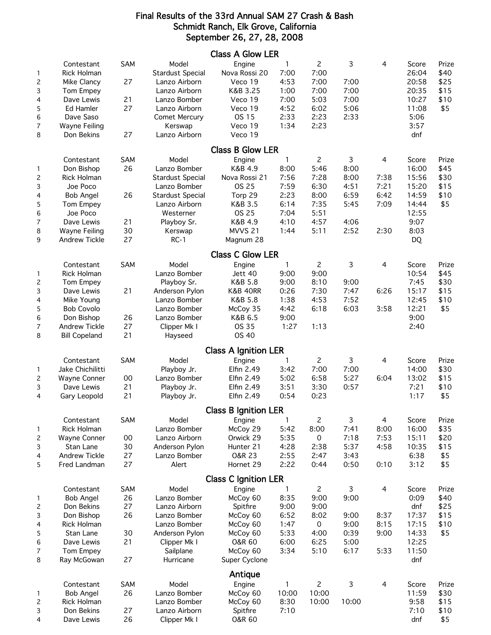#### Final Results of the 33rd Annual SAM 27 Crash & Bash Schmidt Ranch, Elk Grove, California September 26, 27, 28, 2008

|                                                                     |                                                                                                                                                              |                                         |                                                                                                                                    | <b>Class A Glow LER</b>                                                                                              |                                                                      |                                                                      |                                                   |                                   |                                                                          |                                              |
|---------------------------------------------------------------------|--------------------------------------------------------------------------------------------------------------------------------------------------------------|-----------------------------------------|------------------------------------------------------------------------------------------------------------------------------------|----------------------------------------------------------------------------------------------------------------------|----------------------------------------------------------------------|----------------------------------------------------------------------|---------------------------------------------------|-----------------------------------|--------------------------------------------------------------------------|----------------------------------------------|
| 1<br>$\overline{c}$<br>3<br>4<br>5<br>6<br>7                        | Contestant<br><b>Rick Holman</b><br>Mike Clancy<br>Tom Empey<br>Dave Lewis<br>Ed Hamler<br>Dave Saso<br>Wayne Feiling                                        | SAM<br>27<br>21<br>27                   | Model<br><b>Stardust Special</b><br>Lanzo Airborn<br>Lanzo Airborn<br>Lanzo Bomber<br>Lanzo Airborn<br>Comet Mercury<br>Kerswap    | Engine<br>Nova Rossi 20<br>Veco 19<br>K&B 3.25<br>Veco 19<br>Veco 19<br>OS 15<br>Veco 19                             | $\mathbf{1}$<br>7:00<br>4:53<br>1:00<br>7:00<br>4:52<br>2:33<br>1:34 | $\mathbf{2}$<br>7:00<br>7:00<br>7:00<br>5:03<br>6:02<br>2:23<br>2:23 | 3<br>7:00<br>7:00<br>7:00<br>5:06<br>2:33         | 4                                 | Score<br>26:04<br>20:58<br>20:35<br>10:27<br>11:08<br>5:06<br>3:57       | Prize<br>\$40<br>\$25<br>\$15<br>\$10<br>\$5 |
| 8                                                                   | Don Bekins                                                                                                                                                   | 27                                      | Lanzo Airborn                                                                                                                      | Veco 19                                                                                                              |                                                                      |                                                                      |                                                   |                                   | dnf                                                                      |                                              |
|                                                                     |                                                                                                                                                              |                                         |                                                                                                                                    | <b>Class B Glow LER</b>                                                                                              |                                                                      |                                                                      |                                                   |                                   |                                                                          |                                              |
| 1<br>$\overline{c}$<br>3<br>4<br>5<br>6<br>$\overline{\mathcal{L}}$ | Contestant<br>Don Bishop<br>Rick Holman<br>Joe Poco<br><b>Bob Angel</b><br>Tom Empey<br>Joe Poco<br>Dave Lewis                                               | SAM<br>26<br>26<br>21                   | Model<br>Lanzo Bomber<br><b>Stardust Special</b><br>Lanzo Bomber<br><b>Stardust Special</b><br>Lanzo Airborn<br>Westerner          | Engine<br>K&B 4.9<br>Nova Rossi 21<br>OS 25<br>Torp 29<br>K&B 3.5<br>OS 25<br>K&B 4.9                                | $\mathbf{1}$<br>8:00<br>7:56<br>7:59<br>2:23<br>6:14<br>7:04<br>4:10 | $\mathbf{2}$<br>5:46<br>7:28<br>6:30<br>8:00<br>7:35<br>5:51<br>4:57 | 3<br>8:00<br>8:00<br>4:51<br>6:59<br>5:45<br>4:06 | 4<br>7:38<br>7:21<br>6:42<br>7:09 | Score<br>16:00<br>15:56<br>15:20<br>14:59<br>14:44<br>12:55<br>9:07      | Prize<br>\$45<br>\$30<br>\$15<br>\$10<br>\$5 |
| 8                                                                   | Wayne Feiling                                                                                                                                                | 30                                      | Playboy Sr.<br>Kerswap                                                                                                             | MVVS <sub>21</sub>                                                                                                   | 1:44                                                                 | 5:11                                                                 | 2:52                                              | 2:30                              | 8:03                                                                     |                                              |
| 9                                                                   | Andrew Tickle                                                                                                                                                | 27                                      | $RC-1$                                                                                                                             | Magnum 28                                                                                                            |                                                                      |                                                                      |                                                   |                                   | DQ                                                                       |                                              |
|                                                                     |                                                                                                                                                              |                                         |                                                                                                                                    | <b>Class C Glow LER</b>                                                                                              |                                                                      |                                                                      |                                                   |                                   |                                                                          |                                              |
| $\mathbf{1}$<br>2<br>3<br>4<br>5<br>6<br>7<br>8                     | Contestant<br><b>Rick Holman</b><br>Tom Empey<br>Dave Lewis<br>Mike Young<br><b>Bob Covolo</b><br>Don Bishop<br><b>Andrew Tickle</b><br><b>Bill Copeland</b> | SAM<br>21<br>26<br>27<br>21             | Model<br>Lanzo Bomber<br>Playboy Sr.<br>Anderson Pylon<br>Lanzo Bomber<br>Lanzo Bomber<br>Lanzo Bomber<br>Clipper Mk I<br>Hayseed  | Engine<br>Jett 40<br>K&B 5.8<br><b>K&amp;B 40RR</b><br>K&B 5.8<br>McCoy 35<br>K&B 6.5<br>OS 35<br>OS 40              | 1<br>9:00<br>9:00<br>0:26<br>1:38<br>4:42<br>9:00<br>1:27            | 2<br>9:00<br>8:10<br>7:30<br>4:53<br>6:18<br>1:13                    | 3<br>9:00<br>7:47<br>7:52<br>6:03                 | 4<br>6:26<br>3:58                 | Score<br>10:54<br>7:45<br>15:17<br>12:45<br>12:21<br>9:00<br>2:40        | Prize<br>\$45<br>\$30<br>\$15<br>\$10<br>\$5 |
|                                                                     |                                                                                                                                                              |                                         |                                                                                                                                    | <b>Class A Ignition LER</b>                                                                                          |                                                                      |                                                                      |                                                   |                                   |                                                                          |                                              |
| $\mathbf{1}$<br>2<br>3<br>4                                         | Contestant<br>Jake Chichilitti<br>Wayne Conner<br>Dave Lewis<br>Gary Leopold                                                                                 | SAM<br>00<br>21<br>21                   | Model<br>Playboy Jr.<br>Lanzo Bomber<br>Playboy Jr.<br>Playboy Jr.                                                                 | Engine<br>Elfin 2.49<br>Elfin 2.49<br>Elfin 2.49<br>Elfin 2.49                                                       | 1<br>3:42<br>5:02<br>3:51<br>0:54                                    | $\overline{c}$<br>7:00<br>6:58<br>3:30<br>0:23                       | 3<br>7:00<br>5:27<br>0:57                         | 4<br>6:04                         | Score<br>14:00<br>13:02<br>7:21<br>1:17                                  | Prize<br>\$30<br>\$15<br>\$10<br>\$5         |
|                                                                     |                                                                                                                                                              |                                         |                                                                                                                                    | <b>Class B Ignition LER</b>                                                                                          |                                                                      |                                                                      |                                                   |                                   |                                                                          |                                              |
| 1<br>2<br>3<br>4<br>5                                               | Contestant<br><b>Rick Holman</b><br>Wayne Conner<br>Stan Lane<br>Andrew Tickle<br>Fred Landman                                                               | SAM<br>00<br>30<br>27<br>27             | Model<br>Lanzo Bomber<br>Lanzo Airborn<br>Anderson Pylon<br>Lanzo Bomber<br>Alert                                                  | Engine<br>McCoy 29<br>Orwick 29<br>Hunter 21<br>0&R 23<br>Hornet 29                                                  | 1<br>5:42<br>5:35<br>4:28<br>2:55<br>2:22                            | $\overline{c}$<br>8:00<br>0<br>2:38<br>2:47<br>0:44                  | 3<br>7:41<br>7:18<br>5:37<br>3:43<br>0:50         | 4<br>8:00<br>7:53<br>4:58<br>0:10 | Score<br>16:00<br>15:11<br>10:35<br>6:38<br>3:12                         | Prize<br>\$35<br>\$20<br>\$15<br>\$5<br>\$5  |
|                                                                     |                                                                                                                                                              |                                         |                                                                                                                                    | <b>Class C Ignition LER</b>                                                                                          |                                                                      |                                                                      |                                                   |                                   |                                                                          |                                              |
| $\mathbf{1}$<br>$\overline{c}$<br>3<br>4<br>5<br>6<br>7<br>8        | Contestant<br><b>Bob Angel</b><br>Don Bekins<br>Don Bishop<br>Rick Holman<br>Stan Lane<br>Dave Lewis<br>Tom Empey<br>Ray McGowan                             | SAM<br>26<br>27<br>26<br>30<br>21<br>27 | Model<br>Lanzo Bomber<br>Lanzo Airborn<br>Lanzo Bomber<br>Lanzo Bomber<br>Anderson Pylon<br>Clipper Mk I<br>Sailplane<br>Hurricane | Engine<br>McCoy 60<br>Spitfire<br>McCoy 60<br>McCoy 60<br>McCoy 60<br><b>O&amp;R 60</b><br>McCoy 60<br>Super Cyclone | 1<br>8:35<br>9:00<br>6:52<br>1:47<br>5:33<br>6:00<br>3:34            | $\mathbf{2}$<br>9:00<br>9:00<br>8:02<br>0<br>4:00<br>6:25<br>5:10    | 3<br>9:00<br>9:00<br>9:00<br>0:39<br>5:00<br>6:17 | 4<br>8:37<br>8:15<br>9:00<br>5:33 | Score<br>0:09<br>dnf<br>17:37<br>17:15<br>14:33<br>12:25<br>11:50<br>dnf | Prize<br>\$40<br>\$25<br>\$15<br>\$10<br>\$5 |
| 1<br>2<br>3<br>4                                                    | Contestant<br><b>Bob Angel</b><br><b>Rick Holman</b><br>Don Bekins<br>Dave Lewis                                                                             | SAM<br>26<br>27<br>26                   | Model<br>Lanzo Bomber<br>Lanzo Bomber<br>Lanzo Airborn<br>Clipper Mk I                                                             | Antique<br>Engine<br>McCoy 60<br>McCoy 60<br>Spitfire<br><b>O&amp;R 60</b>                                           | 1<br>10:00<br>8:30<br>7:10                                           | $\overline{c}$<br>10:00<br>10:00                                     | 3<br>10:00                                        | 4                                 | Score<br>11:59<br>9:58<br>7:10<br>dnf                                    | Prize<br>\$30<br>\$15<br>\$10<br>\$5         |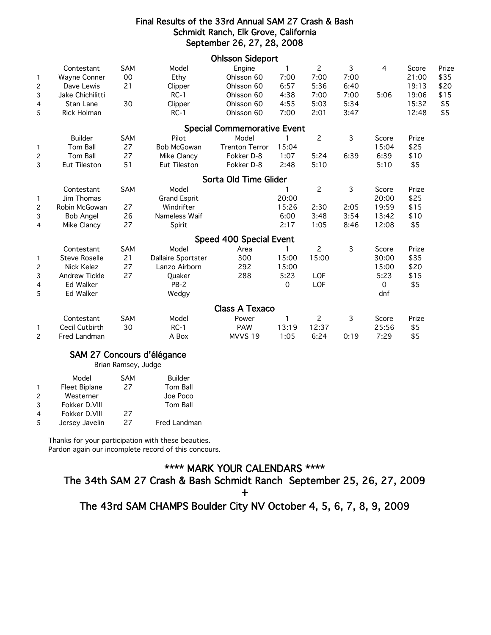#### Final Results of the 33rd Annual SAM 27 Crash & Bash Schmidt Ranch, Elk Grove, California September 26, 27, 28, 2008

|                |                      |            |                     | <b>Ohlsson Sideport</b>            |             |                       |      |       |       |       |
|----------------|----------------------|------------|---------------------|------------------------------------|-------------|-----------------------|------|-------|-------|-------|
|                | Contestant           | <b>SAM</b> | Model               | Engine                             | 1           | $\overline{c}$        | 3    | 4     | Score | Prize |
| $\mathbf{1}$   | Wayne Conner         | 00         | Ethy                | Ohlsson 60                         | 7:00        | 7:00                  | 7:00 |       | 21:00 | \$35  |
| $\overline{c}$ | Dave Lewis           | 21         | Clipper             | Ohlsson 60                         | 6:57        | 5:36                  | 6:40 |       | 19:13 | \$20  |
| 3              | Jake Chichilitti     |            | $RC-1$              | Ohlsson 60                         | 4:38        | 7:00                  | 7:00 | 5:06  | 19:06 | \$15  |
| 4              | Stan Lane            | 30         | Clipper             | Ohlsson 60                         | 4:55        | 5:03                  | 5:34 |       | 15:32 | \$5   |
| 5              | <b>Rick Holman</b>   |            | $RC-1$              | Ohlsson 60                         | 7:00        | 2:01                  | 3:47 |       | 12:48 | \$5   |
|                |                      |            |                     | <b>Special Commemorative Event</b> |             |                       |      |       |       |       |
|                | <b>Builder</b>       | <b>SAM</b> | Pilot               | Model                              |             | $\overline{c}$        | 3    | Score | Prize |       |
| $\mathbf{1}$   | Tom Ball             | 27         | <b>Bob McGowan</b>  | <b>Trenton Terror</b>              | 15:04       |                       |      | 15:04 | \$25  |       |
| 2              | Tom Ball             | 27         | Mike Clancy         | Fokker D-8                         | 1:07        | 5:24                  | 6:39 | 6:39  | \$10  |       |
| 3              | Eut Tileston         | 51         | Eut Tileston        | Fokker D-8                         | 2:48        | 5:10                  |      | 5:10  | \$5   |       |
|                |                      |            |                     | Sorta Old Time Glider              |             |                       |      |       |       |       |
|                | Contestant           | SAM        | Model               |                                    |             | $\overline{c}$        | 3    | Score | Prize |       |
| $\mathbf{1}$   | Jim Thomas           |            | <b>Grand Esprit</b> |                                    | 20:00       |                       |      | 20:00 | \$25  |       |
| $\overline{c}$ | Robin McGowan        | 27         | Windrifter          |                                    | 15:26       | 2:30                  | 2:05 | 19:59 | \$15  |       |
| 3              | <b>Bob Angel</b>     | 26         | Nameless Waif       |                                    | 6:00        | 3:48                  | 3:54 | 13:42 | \$10  |       |
| 4              | Mike Clancy          | 27         | Spirit              |                                    | 2:17        | 1:05                  | 8:46 | 12:08 | \$5   |       |
|                |                      |            |                     | Speed 400 Special Event            |             |                       |      |       |       |       |
|                | Contestant           | SAM        | Model               | Area                               | 1           | $\mathbf{2}^{\prime}$ | 3    | Score | Prize |       |
| 1              | <b>Steve Roselle</b> | 21         | Dallaire Sportster  | 300                                | 15:00       | 15:00                 |      | 30:00 | \$35  |       |
| $\overline{c}$ | <b>Nick Kelez</b>    | 27         | Lanzo Airborn       | 292                                | 15:00       |                       |      | 15:00 | \$20  |       |
| 3              | Andrew Tickle        | 27         | Quaker              | 288                                | 5:23        | <b>LOF</b>            |      | 5:23  | \$15  |       |
| 4              | <b>Ed Walker</b>     |            | $PB-2$              |                                    | $\mathbf 0$ | LOF                   |      | 0     | \$5   |       |
| 5              | <b>Ed Walker</b>     |            | Wedgy               |                                    |             |                       |      | dnf   |       |       |
|                |                      |            |                     | <b>Class A Texaco</b>              |             |                       |      |       |       |       |
|                | Contestant           | <b>SAM</b> | Model               | Power                              |             | $\overline{c}$        | 3    | Score | Prize |       |
| 1              | Cecil Cutbirth       | 30         | $RC-1$              | <b>PAW</b>                         | 13:19       | 12:37                 |      | 25:56 | \$5   |       |
| 2              | Fred Landman         |            | A Box               | MVVS 19                            | 1:05        | 6:24                  | 0:19 | 7:29  | \$5   |       |

#### SAM 27 Concours d'élégance

Brian Ramsey, Judge

| Model          | <b>SAM</b> | <b>Builder</b>      |
|----------------|------------|---------------------|
| Fleet Biplane  | 27         | Tom Ball            |
| Westerner      |            | Joe Poco            |
| Fokker D.VIII  |            | Tom Ball            |
| Fokker D.VIII  | 27         |                     |
| Jersey Javelin | 27         | <b>Fred Landman</b> |
|                |            |                     |

Thanks for your participation with these beauties. Pardon again our incomplete record of this concours.

## \*\*\*\* MARK YOUR CALENDARS \*\*\*\*

The 34th SAM 27 Crash & Bash Schmidt Ranch September 25, 26, 27, 2009

 $+$ 

The 43rd SAM CHAMPS Boulder City NV October 4, 5, 6, 7, 8, 9, 2009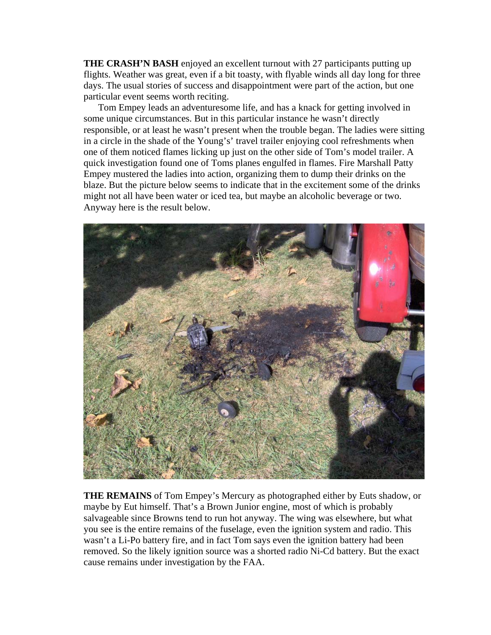**THE CRASH'N BASH** enjoyed an excellent turnout with 27 participants putting up flights. Weather was great, even if a bit toasty, with flyable winds all day long for three days. The usual stories of success and disappointment were part of the action, but one particular event seems worth reciting.

 Tom Empey leads an adventuresome life, and has a knack for getting involved in some unique circumstances. But in this particular instance he wasn't directly responsible, or at least he wasn't present when the trouble began. The ladies were sitting in a circle in the shade of the Young's' travel trailer enjoying cool refreshments when one of them noticed flames licking up just on the other side of Tom's model trailer. A quick investigation found one of Toms planes engulfed in flames. Fire Marshall Patty Empey mustered the ladies into action, organizing them to dump their drinks on the blaze. But the picture below seems to indicate that in the excitement some of the drinks might not all have been water or iced tea, but maybe an alcoholic beverage or two. Anyway here is the result below.



**THE REMAINS** of Tom Empey's Mercury as photographed either by Euts shadow, or maybe by Eut himself. That's a Brown Junior engine, most of which is probably salvageable since Browns tend to run hot anyway. The wing was elsewhere, but what you see is the entire remains of the fuselage, even the ignition system and radio. This wasn't a Li-Po battery fire, and in fact Tom says even the ignition battery had been removed. So the likely ignition source was a shorted radio Ni-Cd battery. But the exact cause remains under investigation by the FAA.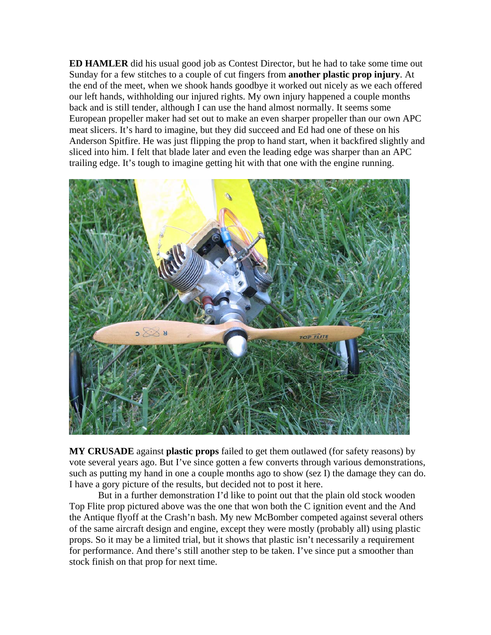**ED HAMLER** did his usual good job as Contest Director, but he had to take some time out Sunday for a few stitches to a couple of cut fingers from **another plastic prop injury**. At the end of the meet, when we shook hands goodbye it worked out nicely as we each offered our left hands, withholding our injured rights. My own injury happened a couple months back and is still tender, although I can use the hand almost normally. It seems some European propeller maker had set out to make an even sharper propeller than our own APC meat slicers. It's hard to imagine, but they did succeed and Ed had one of these on his Anderson Spitfire. He was just flipping the prop to hand start, when it backfired slightly and sliced into him. I felt that blade later and even the leading edge was sharper than an APC trailing edge. It's tough to imagine getting hit with that one with the engine running.



**MY CRUSADE** against **plastic props** failed to get them outlawed (for safety reasons) by vote several years ago. But I've since gotten a few converts through various demonstrations, such as putting my hand in one a couple months ago to show (sez I) the damage they can do. I have a gory picture of the results, but decided not to post it here.

 But in a further demonstration I'd like to point out that the plain old stock wooden Top Flite prop pictured above was the one that won both the C ignition event and the And the Antique flyoff at the Crash'n bash. My new McBomber competed against several others of the same aircraft design and engine, except they were mostly (probably all) using plastic props. So it may be a limited trial, but it shows that plastic isn't necessarily a requirement for performance. And there's still another step to be taken. I've since put a smoother than stock finish on that prop for next time.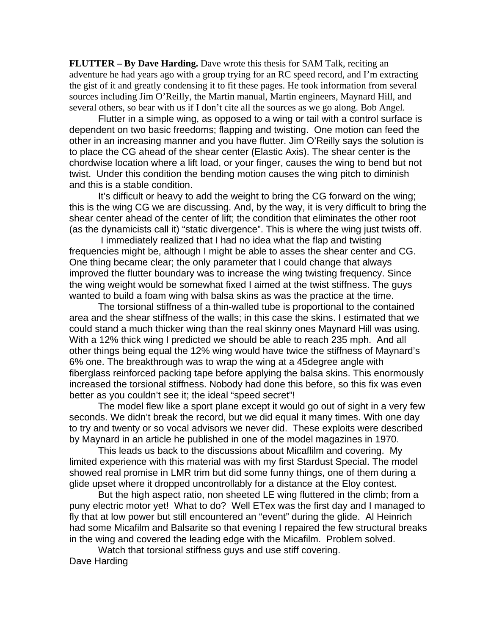**FLUTTER – By Dave Harding.** Dave wrote this thesis for SAM Talk, reciting an adventure he had years ago with a group trying for an RC speed record, and I'm extracting the gist of it and greatly condensing it to fit these pages. He took information from several sources including Jim O'Reilly, the Martin manual, Martin engineers, Maynard Hill, and several others, so bear with us if I don't cite all the sources as we go along. Bob Angel.

Flutter in a simple wing, as opposed to a wing or tail with a control surface is dependent on two basic freedoms; flapping and twisting. One motion can feed the other in an increasing manner and you have flutter. Jim O'Reilly says the solution is to place the CG ahead of the shear center (Elastic Axis). The shear center is the chordwise location where a lift load, or your finger, causes the wing to bend but not twist. Under this condition the bending motion causes the wing pitch to diminish and this is a stable condition.

 It's difficult or heavy to add the weight to bring the CG forward on the wing; this is the wing CG we are discussing. And, by the way, it is very difficult to bring the shear center ahead of the center of lift; the condition that eliminates the other root (as the dynamicists call it) "static divergence". This is where the wing just twists off.

 I immediately realized that I had no idea what the flap and twisting frequencies might be, although I might be able to asses the shear center and CG. One thing became clear; the only parameter that I could change that always improved the flutter boundary was to increase the wing twisting frequency. Since the wing weight would be somewhat fixed I aimed at the twist stiffness. The guys wanted to build a foam wing with balsa skins as was the practice at the time.

The torsional stiffness of a thin-walled tube is proportional to the contained area and the shear stiffness of the walls; in this case the skins. I estimated that we could stand a much thicker wing than the real skinny ones Maynard Hill was using. With a 12% thick wing I predicted we should be able to reach 235 mph. And all other things being equal the 12% wing would have twice the stiffness of Maynard's 6% one. The breakthrough was to wrap the wing at a 45degree angle with fiberglass reinforced packing tape before applying the balsa skins. This enormously increased the torsional stiffness. Nobody had done this before, so this fix was even better as you couldn't see it; the ideal "speed secret"!

The model flew like a sport plane except it would go out of sight in a very few seconds. We didn't break the record, but we did equal it many times. With one day to try and twenty or so vocal advisors we never did. These exploits were described by Maynard in an article he published in one of the model magazines in 1970.

This leads us back to the discussions about Micaflilm and covering. My limited experience with this material was with my first Stardust Special. The model showed real promise in LMR trim but did some funny things, one of them during a glide upset where it dropped uncontrollably for a distance at the Eloy contest.

 But the high aspect ratio, non sheeted LE wing fluttered in the climb; from a puny electric motor yet! What to do? Well ETex was the first day and I managed to fly that at low power but still encountered an "event" during the glide. Al Heinrich had some Micafilm and Balsarite so that evening I repaired the few structural breaks in the wing and covered the leading edge with the Micafilm. Problem solved.

Watch that torsional stiffness guys and use stiff covering. Dave Harding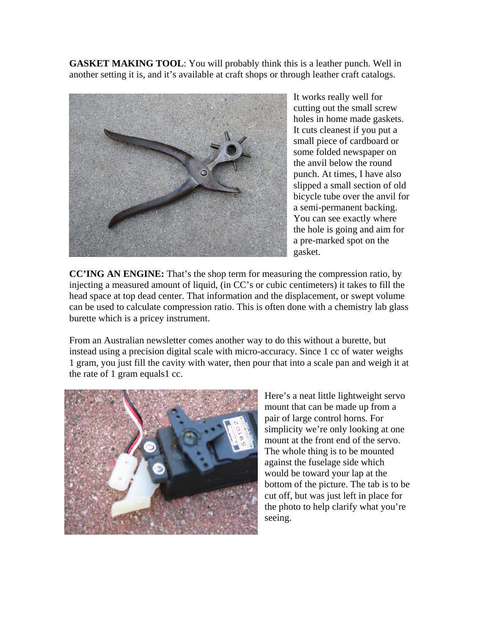**GASKET MAKING TOOL**: You will probably think this is a leather punch. Well in another setting it is, and it's available at craft shops or through leather craft catalogs.



It works really well for cutting out the small screw holes in home made gaskets. It cuts cleanest if you put a small piece of cardboard or some folded newspaper on the anvil below the round punch. At times, I have also slipped a small section of old bicycle tube over the anvil for a semi-permanent backing. You can see exactly where the hole is going and aim for a pre-marked spot on the gasket.

**CC'ING AN ENGINE:** That's the shop term for measuring the compression ratio, by injecting a measured amount of liquid, (in CC's or cubic centimeters) it takes to fill the head space at top dead center. That information and the displacement, or swept volume can be used to calculate compression ratio. This is often done with a chemistry lab glass burette which is a pricey instrument.

From an Australian newsletter comes another way to do this without a burette, but instead using a precision digital scale with micro-accuracy. Since 1 cc of water weighs 1 gram, you just fill the cavity with water, then pour that into a scale pan and weigh it at the rate of 1 gram equals1 cc.



Here's a neat little lightweight servo mount that can be made up from a pair of large control horns. For simplicity we're only looking at one mount at the front end of the servo. The whole thing is to be mounted against the fuselage side which would be toward your lap at the bottom of the picture. The tab is to be cut off, but was just left in place for the photo to help clarify what you're seeing.